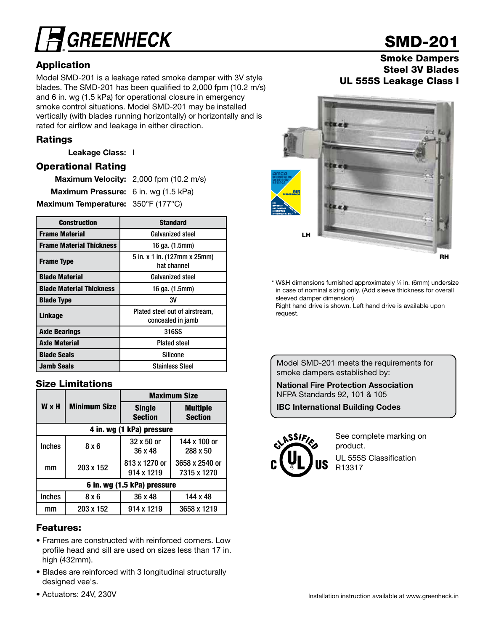# **GREENHECK**

## Application

Model SMD-201 is a leakage rated smoke damper with 3V style blades. The SMD-201 has been qualified to 2,000 fpm (10.2 m/s) and 6 in. wg (1.5 kPa) for operational closure in emergency smoke control situations. Model SMD-201 may be installed vertically (with blades running horizontally) or horizontally and is rated for airflow and leakage in either direction.

## Ratings

Leakage Class: I

## Operational Rating

|                                             | Maximum Velocity: 2,000 fpm (10.2 m/s) |
|---------------------------------------------|----------------------------------------|
| <b>Maximum Pressure:</b> 6 in. wg (1.5 kPa) |                                        |
| Maximum Temperature: 350°F (177°C)          |                                        |

| <b>Construction</b>             | <b>Standard</b>                                     |  |  |
|---------------------------------|-----------------------------------------------------|--|--|
| <b>Frame Material</b>           | <b>Galvanized steel</b>                             |  |  |
| <b>Frame Material Thickness</b> | 16 ga. (1.5mm)                                      |  |  |
| <b>Frame Type</b>               | 5 in. x 1 in. (127mm x 25mm)<br>hat channel         |  |  |
| <b>Blade Material</b>           | <b>Galvanized steel</b>                             |  |  |
| <b>Blade Material Thickness</b> | 16 ga. (1.5mm)                                      |  |  |
| <b>Blade Type</b>               | 3V                                                  |  |  |
| <b>Linkage</b>                  | Plated steel out of airstream,<br>concealed in jamb |  |  |
| <b>Axle Bearings</b>            | 316SS                                               |  |  |
| <b>Axle Material</b>            | <b>Plated steel</b>                                 |  |  |
| <b>Blade Seals</b>              | <b>Silicone</b>                                     |  |  |
| <b>Jamb Seals</b>               | <b>Stainless Steel</b>                              |  |  |

## Size Limitations

|               |                             | <b>Maximum Size</b>             |                                   |  |  |  |  |
|---------------|-----------------------------|---------------------------------|-----------------------------------|--|--|--|--|
| <b>W</b> x H  | <b>Minimum Size</b>         | <b>Single</b><br><b>Section</b> | <b>Multiple</b><br><b>Section</b> |  |  |  |  |
|               |                             | 4 in. wg (1 kPa) pressure       |                                   |  |  |  |  |
| <b>Inches</b> | 8x6                         | 32 x 50 or<br>36 x 48           | 144 x 100 or<br>288 x 50          |  |  |  |  |
| mm            | 203 x 152                   | 813 x 1270 or<br>914 x 1219     | 3658 x 2540 or<br>7315 x 1270     |  |  |  |  |
|               | 6 in. wg (1.5 kPa) pressure |                                 |                                   |  |  |  |  |
| <b>Inches</b> | 8 x 6                       | 36 x 48                         | 144 x 48                          |  |  |  |  |
| mm            | 203 x 152                   | 914 x 1219                      | 3658 x 1219                       |  |  |  |  |

## Features:

- Frames are constructed with reinforced corners. Low profile head and sill are used on sizes less than 17 in. high (432mm).
- Blades are reinforced with 3 longitudinal structurally designed vee's.
- Actuators: 24V, 230V

# SMD-201

## Smoke Dampers Steel 3V Blades UL 555S Leakage Class I



\* W&H dimensions furnished approximately 1 ⁄4 in. (6mm) undersize in case of nominal sizing only. (Add sleeve thickness for overall sleeved damper dimension)

Right hand drive is shown. Left hand drive is available upon request.

Model SMD-201 meets the requirements for smoke dampers established by:

National Fire Protection Association NFPA Standards 92, 101 & 105

IBC International Building Codes



See complete marking on product. UL 555S Classification R13317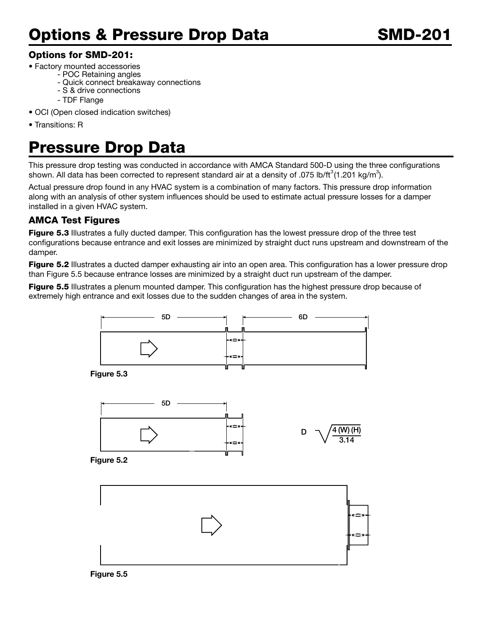## Options for SMD-201:

- Factory mounted accessories
	- POC Retaining angles
	- Quick connect breakaway connections
	- S & drive connections
	- TDF Flange
- OCI (Open closed indication switches)
- Transitions: R

# Pressure Drop Data

This pressure drop testing was conducted in accordance with AMCA Standard 500-D using the three configurations shown. All data has been corrected to represent standard air at a density of .075 lb/ft $^3$ (1.201 kg/m $^3$ ).

Actual pressure drop found in any HVAC system is a combination of many factors. This pressure drop information along with an analysis of other system influences should be used to estimate actual pressure losses for a damper installed in a given HVAC system.

## AMCA Test Figures

Figure 5.3 Illustrates a fully ducted damper. This configuration has the lowest pressure drop of the three test configurations because entrance and exit losses are minimized by straight duct runs upstream and downstream of the damper.

**Figure 5.2** Illustrates a ducted damper exhausting air into an open area. This configuration has a lower pressure drop than Figure 5.5 because entrance losses are minimized by a straight duct run upstream of the damper.

Figure 5.5 Illustrates a plenum mounted damper. This configuration has the highest pressure drop because of extremely high entrance and exit losses due to the sudden changes of area in the system.



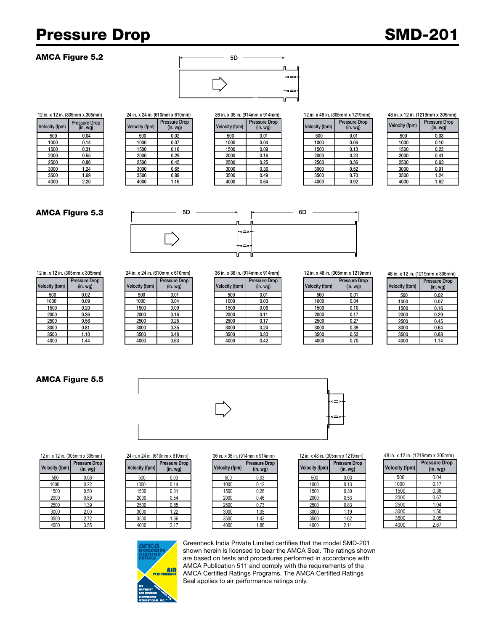## Pressure Drop SMD-201

Velocity (fpm) Pressure Drop Velocity (fpm)

### AMCA Figure 5.2



#### 12 in. x 12 in. (305mm x 305mm) 24 in. x 24 in. (610mm x 610mm) 36 in. x 36 in. (914mm x 914mm) 12 in. x 48 in. (305mm x 1219mm)

| city (fpm) | <b>Pressure Drop</b><br>(in. wg) | Velocity (fpm) | Pressure Drop<br>(in.wg) | Velocity (fpm) | Pressure Drop<br>(in. <i>wg</i> ) | Velocity (fpm) | <b>Pressure Drop</b><br>(in.wg) |
|------------|----------------------------------|----------------|--------------------------|----------------|-----------------------------------|----------------|---------------------------------|
| 500        | 0.04                             | 500            | 0.02                     | 500            | 0.01                              | 500            | 0.01                            |
| 1000       | 0.14                             | 1000           | 0.07                     | 1000           | 0.04                              | 1000           | 0.06                            |
| 1500       | 0.31                             | 1500           | 0.16                     | 1500           | 0.09                              | 1500           | 0.13                            |
| 2000       | 0.55                             | 2000           | 0.29                     | 2000           | 0.16                              | 2000           | 0.23                            |
| 2500       | 0.86                             | 2500           | 0.45                     | 2500           | 0.25                              | 2500           | 0.36                            |
| 3000       | 1.24                             | 3000           | 0.65                     | 3000           | 0.36                              | 3000           | 0.52                            |
| 3500       | 1.69                             | 3500           | 0.89                     | 3500           | 0.49                              | 3500           | 0.70                            |
| 4000       | 2.20                             | 4000           | 1.16                     | 4000           | 0.64                              | 4000           | 0.92                            |

#### 48 in. x 12 in. (1219mm x 305mm)

| <b>Velocity (fpm)</b> | <b>Pressure Drop</b><br>$(in. wq)$ |
|-----------------------|------------------------------------|
| 500                   | 0.03                               |
| 1000                  | 0.10                               |
| 1500                  | 0.23                               |
| 2000                  | 0.41                               |
| 2500                  | 0.63                               |
| 3000                  | 0.91                               |
| 3500                  | 1.24                               |
| 4000                  | 1.62                               |

### AMCA Figure 5.3



12 in. x 12 in. (305mm x 305mm) 24 in. x 24 in. (610mm x 610mm) 36 in. x 36 in. (914mm x 914mm) 12 in. x 48 in. (305mm x 1219mm)

| <b>Velocity (fpm)</b> | <b>Pressure Drop</b><br>(in. <i>wq</i> ) |
|-----------------------|------------------------------------------|
| 500                   | 0.02                                     |
| 1000                  | 0.09                                     |
| 1500                  | 0.20                                     |
| 2000                  | 0.36                                     |
| 2500                  | 0.56                                     |
| 3000                  | 0.81                                     |
| 3500                  | 1.10                                     |
| 4000                  | 1 44                                     |

#### 5D (in. wg) Velocity (fpm) **Pressure Drop**

| 'elocity (fpm) | (in. wg) |
|----------------|----------|
| 500            | 0.01     |
| 1000           | 0.04     |
| 1500           | 0.09     |
| 2000           | 0.16     |
| 2500           | 0.25     |
| 3000           | 0.35     |
| 3500           | 0.48     |
| 4000           | 0.63     |

| city (fpm) | Pressure Drop<br>(in. <i>wg</i> ) | Velocity (fpm) | <b>Pressure Drop</b><br>(in.wg) | Velocity (fpm) | Pressure Drop<br>(in. <i>wg</i> ) | Velocity (fpm) | Pressure<br>(in. w) |
|------------|-----------------------------------|----------------|---------------------------------|----------------|-----------------------------------|----------------|---------------------|
| 500        | 0.02                              | 500            | 0.01                            | 500            | 0.01                              | 500            | 0.01                |
| 1000       | 0.09                              | 1000           | 0.04                            | 1000           | 0.03                              | 1000           | 0.04                |
| 1500       | 0.20                              | 1500           | 0.09                            | 1500           | 0.06                              | 1500           | 0.10                |
| 2000       | 0.36                              | 2000           | 0.16                            | 2000           | 0.11                              | 2000           | 0.17                |
| 2500       | 0.56                              | 2500           | 0.25                            | 2500           | 0.17                              | 2500           | 0.27                |
| 3000       | 0.81                              | 3000           | 0.35                            | 3000           | 0.24                              | 3000           | 0.39                |
| 3500       | 1.10                              | 3500           | 0.48                            | 3500           | 0.33                              | 3500           | 0.53                |
| 4000       | .44                               | 4000           | 0.63                            | 4000           | 0.42                              | 4000           | 0.70                |

| <b>Velocity (fpm)</b> | <b>Pressure Drop</b><br>$(in.$ wg $)$ |
|-----------------------|---------------------------------------|
| 500                   | 0.01                                  |
| 1000                  | 0.04                                  |
| 1500                  | 0.10                                  |
| 2000                  | 0.17                                  |
| 2500                  | 0.27                                  |
| 3000                  | 0.39                                  |
| 3500                  | 0.53                                  |
| 4000                  | 0.70                                  |

#### 48 in. x 12 in. (1219mm x 305mm)

| <b>Velocity (fpm)</b> | <b>Pressure Drop</b><br>$(in.$ wg $)$ |
|-----------------------|---------------------------------------|
| 500                   | 0.02                                  |
| 1000                  | 0.07                                  |
| 1500                  | 0.16                                  |
| 2000                  | 0.29                                  |
| 2500                  | 0.45                                  |
| 3000                  | 0.64                                  |
| 3500                  | 0.88                                  |
| 4000                  | 1.14                                  |

### AMCA Figure 5.5

**Velocity (fpm)**

**Pressure** Drop<br>(in. wg)



**Pressure Drop**  $(in. wg)$ 



### 12 in. x 12 in. (305mm x 305mm) 24 in. x 24 in. (610mm x 610mm) 36 in. x 36 in. (914mm x 914mm) 12 in. x 48 in. (305mm x 1219mm)

| city (fpm) | <b>Pressure Drop</b><br>(in.wg) | Velocity (fpm) | <b>Pressure Drop</b><br>(in. wg) | Velocity (fpm) | <b>Pressure Drop</b><br>(in.wg) | Velocity (fpm) | <b>Pressure Drop</b><br>(in. <i>wg</i> ) |
|------------|---------------------------------|----------------|----------------------------------|----------------|---------------------------------|----------------|------------------------------------------|
| 500        | 0.06                            | 500            | 0.03                             | 500            | 0.03                            | 500            | 0.03                                     |
| 1000       | 0.22                            | 1000           | 0.14                             | 1000           | 0.12                            | 1000           | 0.13                                     |
| 1500       | 0.50                            | 1500           | 0.31                             | 1500           | 0.26                            | 1500           | 0.30                                     |
| 2000       | 0.89                            | 2000           | 0.54                             | 2000           | 0.46                            | 2000           | 0.53                                     |
| 2500       | 1.39                            | 2500           | 0.85                             | 2500           | 0.73                            | 2500           | 0.83                                     |
| 3000       | 2.00                            | 3000           | 1.22                             | 3000           | 1.05                            | 3000           | 1.19                                     |
| 3500       | 2.72                            | 3500           | .66                              | 3500           | 1.42                            | 3500           | 1.62                                     |
| 4000       | 3.55                            | 4000           | 2.17                             | 4000           | 1.86                            | 4000           | 2.11                                     |

### 48 in. x 12 in. (1219mm x 305mm)

| <b>Velocity (fpm)</b> | <b>Pressure Drop</b><br>$(in.$ wg $)$ |
|-----------------------|---------------------------------------|
| 500                   | 0.04                                  |
| 1000                  | 0.17                                  |
| 1500                  | 0.38                                  |
| 2000                  | 0.67                                  |
| 2500                  | 1.04                                  |
| 3000                  | 1.50                                  |
| 3500                  | 2.05                                  |
| 4000                  | 2.67                                  |



**Pressure** Drop<br>(in. wg)

Greenheck India Private Limited certifies that the model SMD-201 shown herein is licensed to bear the AMCA Seal. The ratings shown are based on tests and procedures performed in accordance with AMCA Publication 511 and comply with the requirements of the AMCA Certified Ratings Programs. The AMCA Certified Ratings Seal applies to air performance ratings only.

| op | <b>Velocity (fpm)</b> | Pressu |
|----|-----------------------|--------|
|    | 500                   |        |
|    | 1000                  |        |
|    | 1500                  |        |
|    | 2000                  |        |
|    | 2500                  |        |
|    | 3000                  |        |
|    | 3500                  |        |
|    | 4000                  |        |



#### 2000 | 0.55 | | 2000 | 0.29 | | 2000 | 0.16 | | 2000 | 0.23 2500 0.86 2500 0.45 2500 0.25 2500 0.36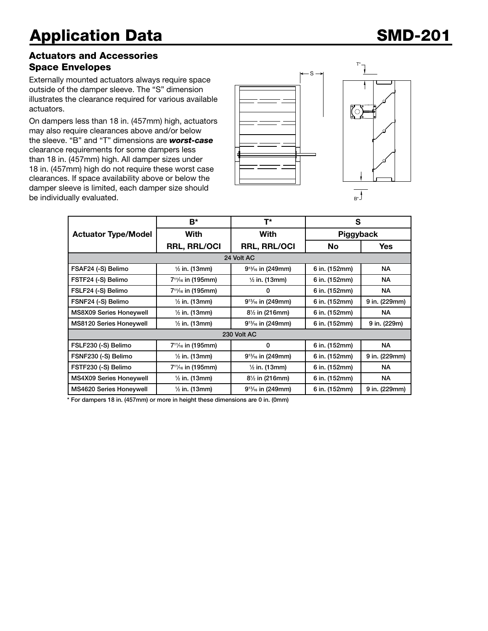## Actuators and Accessories Space Envelopes

Externally mounted actuators always require space outside of the damper sleeve. The "S" dimension illustrates the clearance required for various available actuators.

On dampers less than 18 in. (457mm) high, actuators may also require clearances above and/or below the sleeve. "B" and "T" dimensions are *worst-case* clearance requirements for some dampers less than 18 in. (457mm) high. All damper sizes under 18 in. (457mm) high do not require these worst case clearances. If space availability above or below the damper sleeve is limited, each damper size should be individually evaluated.





T\*

|                                | B*<br>T*                                   |                           | S             |               |  |  |
|--------------------------------|--------------------------------------------|---------------------------|---------------|---------------|--|--|
| <b>Actuator Type/Model</b>     | With                                       | With                      | Piggyback     |               |  |  |
|                                | <b>RRL, RRL/OCI</b>                        | <b>RRL, RRL/OCI</b>       | No            | Yes           |  |  |
| 24 Volt AC                     |                                            |                           |               |               |  |  |
| FSAF24 (-S) Belimo             | $\frac{1}{2}$ in. (13mm)                   | $9^{13}/_{16}$ in (249mm) | 6 in. (152mm) | NA.           |  |  |
| FSTF24 (-S) Belimo             | 7 <sup>11</sup> / <sub>16</sub> in (195mm) | $\frac{1}{2}$ in. (13mm)  | 6 in. (152mm) | NA.           |  |  |
| FSLF24 (-S) Belimo             | 7 <sup>11</sup> / <sub>16</sub> in (195mm) | 0                         | 6 in. (152mm) | NA.           |  |  |
| FSNF24 (-S) Belimo             | $\frac{1}{2}$ in. (13mm)                   | $9^{13}/_{16}$ in (249mm) | 6 in. (152mm) | 9 in. (229mm) |  |  |
| <b>MS8X09 Series Honeywell</b> | $\frac{1}{2}$ in. (13mm)                   | $8\frac{1}{2}$ in (216mm) | 6 in. (152mm) | NA.           |  |  |
| <b>MS8120 Series Honeywell</b> | $\frac{1}{2}$ in. (13mm)                   | $9^{13}/_{16}$ in (249mm) | 6 in. (152mm) | 9 in. (229m)  |  |  |
| 230 Volt AC                    |                                            |                           |               |               |  |  |
| FSLF230 (-S) Belimo            | 7 <sup>11</sup> / <sub>16</sub> in (195mm) | 0                         | 6 in. (152mm) | NA.           |  |  |
| FSNF230 (-S) Belimo            | $\frac{1}{2}$ in. (13mm)                   | $9^{13}/_{16}$ in (249mm) | 6 in. (152mm) | 9 in. (229mm) |  |  |
| FSTF230 (-S) Belimo            | 7 <sup>11</sup> / <sub>16</sub> in (195mm) | $\frac{1}{2}$ in. (13mm)  | 6 in. (152mm) | NA.           |  |  |
| <b>MS4X09 Series Honeywell</b> | $\frac{1}{2}$ in. (13mm)                   | $8\frac{1}{2}$ in (216mm) | 6 in. (152mm) | NA.           |  |  |
| <b>MS4620 Series Honeywell</b> | $\frac{1}{2}$ in. (13mm)                   | $9^{13}/_{16}$ in (249mm) | 6 in. (152mm) | 9 in. (229mm) |  |  |

\* For dampers 18 in. (457mm) or more in height these dimensions are 0 in. (0mm)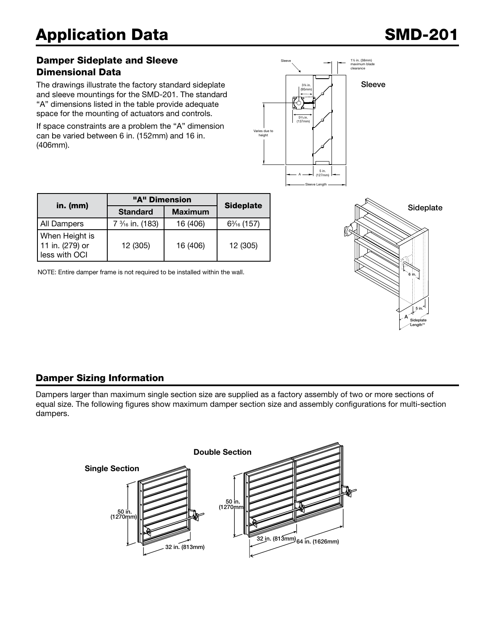## Damper Sideplate and Sleeve Dimensional Data

The drawings illustrate the factory standard sideplate and sleeve mountings for the SMD-201. The standard "A" dimensions listed in the table provide adequate space for the mounting of actuators and controls.

If space constraints are a problem the "A" dimension can be varied between 6 in. (152mm) and 16 in. (406mm).



|                                                    | "A" Dimension   |                |                  |  |
|----------------------------------------------------|-----------------|----------------|------------------|--|
| in. $(mm)$                                         | <b>Standard</b> | <b>Maximum</b> | <b>Sideplate</b> |  |
| All Dampers                                        | 7 % in. (183)   | 16 (406)       | $6\%$ (157)      |  |
| When Height is<br>11 in. (279) or<br>less with OCI | 12 (305)        | 16 (406)       | 12 (305)         |  |

NOTE: Entire damper frame is not required to be installed within the wall.



## Damper Sizing Information

Dampers larger than maximum single section size are supplied as a factory assembly of two or more sections of equal size. The following figures show maximum damper section size and assembly configurations for multi-section dampers.